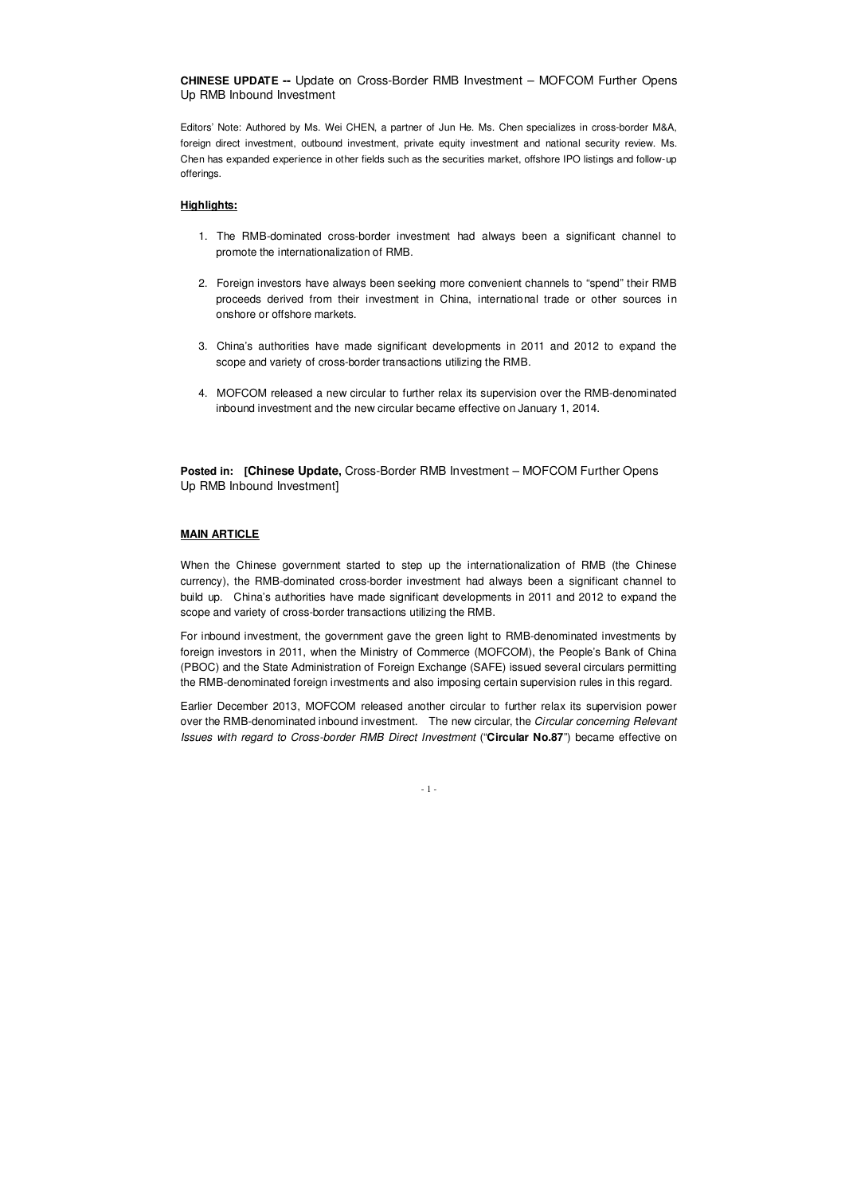**CHINESE UPDATE --** Update on Cross-Border RMB Investment – MOFCOM Further Opens Up RMB Inbound Investment

Editors' Note: Authored by Ms. Wei CHEN, a partner of Jun He. Ms. Chen specializes in cross-border M&A, foreign direct investment, outbound investment, private equity investment and national security review. Ms. Chen has expanded experience in other fields such as the securities market, offshore IPO listings and follow-up offerings.

# **Highlights:**

**Posted in: [Chinese Update, Cross-Border RMB Investment – MOFCOM Further Opens** Up RMB Inbound Investment]

- 1. The RMB-dominated cross-border investment had always been a significant channel to promote the internationalization of RMB.
- 2. Foreign investors have always been seeking more convenient channels to "spend" their RMB proceeds derived from their investment in China, international trade or other sources in onshore or offshore markets.
- 3. China's authorities have made significant developments in 2011 and 2012 to expand the scope and variety of cross-border transactions utilizing the RMB.
- 4. MOFCOM released a new circular to further relax its supervision over the RMB-denominated inbound investment and the new circular became effective on January 1, 2014.

## **MAIN ARTICLE**

When the Chinese government started to step up the internationalization of RMB (the Chinese currency), the RMB-dominated cross-border investment had always been a significant channel to build up. China's authorities have made significant developments in 2011 and 2012 to expand the scope and variety of cross-border transactions utilizing the RMB.

For inbound investment, the government gave the green light to RMB-denominated investments by foreign investors in 2011, when the Ministry of Commerce (MOFCOM), the People's Bank of China (PBOC) and the State Administration of Foreign Exchange (SAFE) issued several circulars permitting the RMB-denominated foreign investments and also imposing certain supervision rules in this regard.

Earlier December 2013, MOFCOM released another circular to further relax its supervision power over the RMB-denominated inbound investment. The new circular, the *Circular concerning Relevant* Issues with regard to Cross-border RMB Direct Investment ("**Circular No.87**") became effective on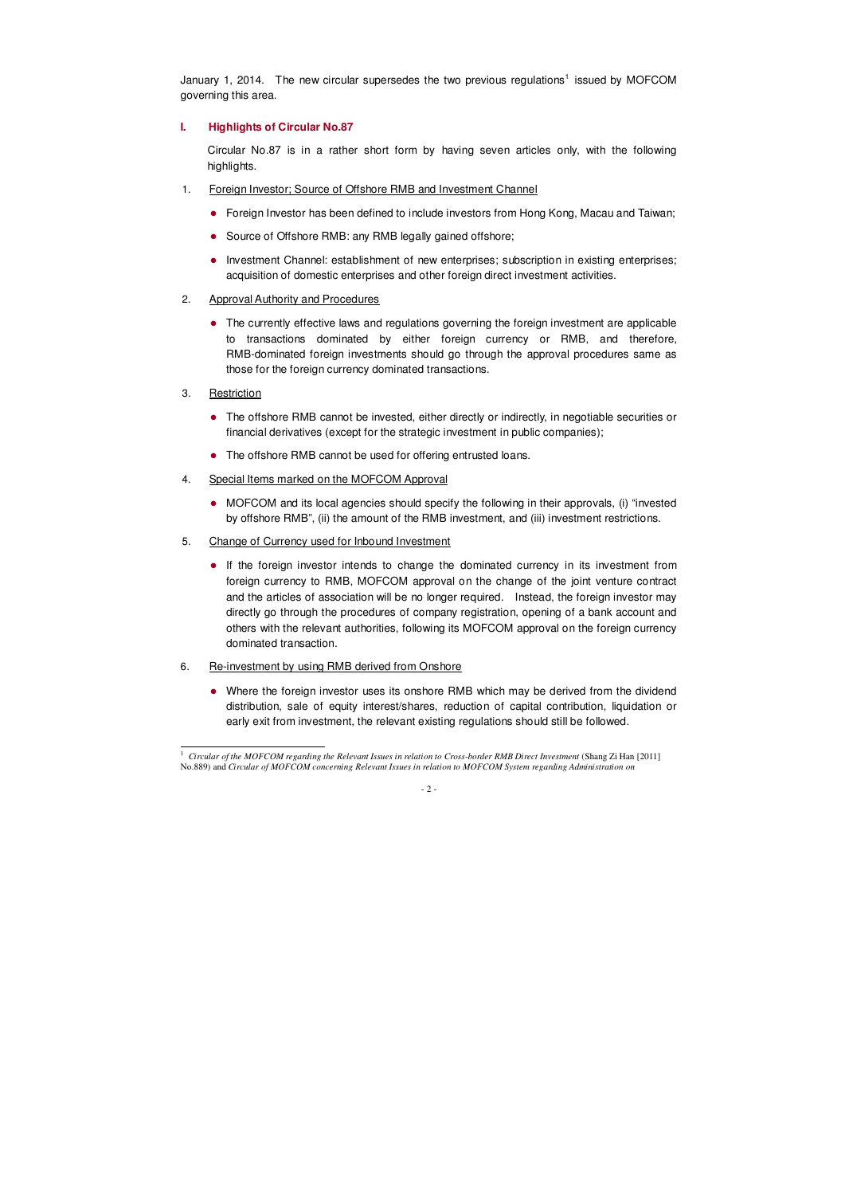January 1, 2014. The new circular supersedes the two previous regulations<sup>1</sup> issued by MOFCOM governing this area.

# **I. Highlights of Circular No.87**

Circular No.87 is in a rather short form by having seven articles only, with the following highlights.

- 1. Foreign Investor; Source of Offshore RMB and Investment Channel
	- Foreign Investor has been defined to include investors from Hong Kong, Macau and Taiwan;
	- Source of Offshore RMB: any RMB legally gained offshore;
	- Investment Channel: establishment of new enterprises; subscription in existing enterprises; acquisition of domestic enterprises and other foreign direct investment activities.
- 2. Approval Authority and Procedures
	- The currently effective laws and regulations governing the foreign investment are applicable to transactions dominated by either foreign currency or RMB, and therefore, RMB-dominated foreign investments should go through the approval procedures same as those for the foreign currency dominated transactions.
- 3. Restriction

 $\overline{a}$ 

- The offshore RMB cannot be invested, either directly or indirectly, in negotiable securities or financial derivatives (except for the strategic investment in public companies);
- The offshore RMB cannot be used for offering entrusted loans.
- 4. Special Items marked on the MOFCOM Approval
	- MOFCOM and its local agencies should specify the following in their approvals, (i) "invested by offshore RMB", (ii) the amount of the RMB investment, and (iii) investment restrictions.
- 5. Change of Currency used for Inbound Investment
	- If the foreign investor intends to change the dominated currency in its investment from foreign currency to RMB, MOFCOM approval on the change of the joint venture contract and the articles of association will be no longer required. Instead, the foreign investor may directly go through the procedures of company registration, opening of a bank account and others with the relevant authorities, following its MOFCOM approval on the foreign currency dominated transaction.
- 6. Re-investment by using RMB derived from Onshore
	- Where the foreign investor uses its onshore RMB which may be derived from the dividend distribution, sale of equity interest/shares, reduction of capital contribution, liquidation or early exit from investment, the relevant existing regulations should still be followed.

<sup>&</sup>lt;sup>1</sup> *Circular of the MOFCOM regarding the Relevant Issues in relation to Cross-border RMB Direct Investment* (Shang Zi Han [2011] No.889) and *Circular of MOFCOM concerning Relevant Issues in relation to MOFCOM System regarding Administration on*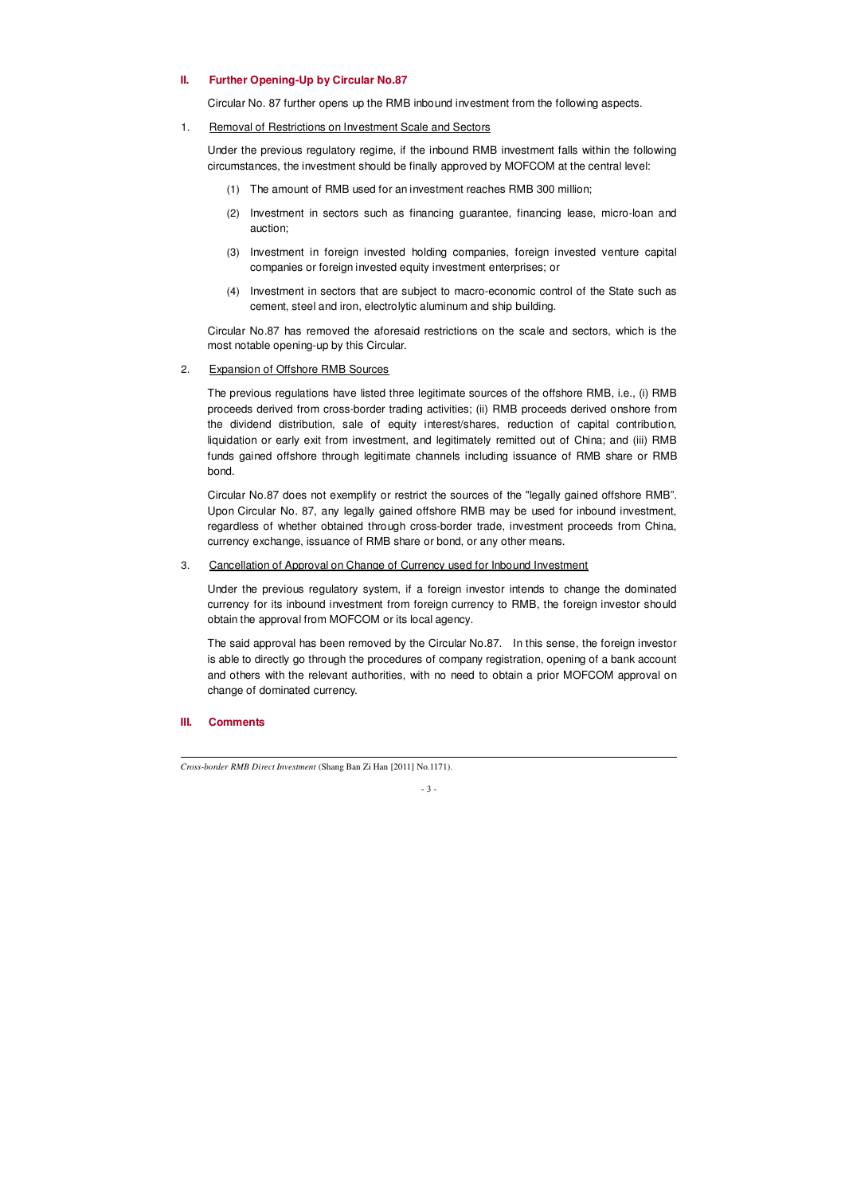### **II. Further Opening-Up by Circular No.87**

Circular No. 87 further opens up the RMB inbound investment from the following aspects.

# 1. Removal of Restrictions on Investment Scale and Sectors

Under the previous regulatory regime, if the inbound RMB investment falls within the following circumstances, the investment should be finally approved by MOFCOM at the central level:

- (1) The amount of RMB used for an investment reaches RMB 300 million;
- (2) Investment in sectors such as financing guarantee, financing lease, micro-loan and auction;
- (3) Investment in foreign invested holding companies, foreign invested venture capital companies or foreign invested equity investment enterprises; or
- (4) Investment in sectors that are subject to macro-economic control of the State such as cement, steel and iron, electrolytic aluminum and ship building.

Circular No.87 has removed the aforesaid restrictions on the scale and sectors, which is the most notable opening-up by this Circular.

## 2. Expansion of Offshore RMB Sources

The previous regulations have listed three legitimate sources of the offshore RMB, i.e., (i) RMB proceeds derived from cross-border trading activities; (ii) RMB proceeds derived onshore from the dividend distribution, sale of equity interest/shares, reduction of capital contribution, liquidation or early exit from investment, and legitimately remitted out of China; and (iii) RMB funds gained offshore through legitimate channels including issuance of RMB share or RMB bond.

Circular No.87 does not exemplify or restrict the sources of the "legally gained offshore RMB". Upon Circular No. 87, any legally gained offshore RMB may be used for inbound investment, regardless of whether obtained through cross-border trade, investment proceeds from China, currency exchange, issuance of RMB share or bond, or any other means.

3. Cancellation of Approval on Change of Currency used for Inbound Investment

Under the previous regulatory system, if a foreign investor intends to change the dominated currency for its inbound investment from foreign currency to RMB, the foreign investor should obtain the approval from MOFCOM or its local agency.

The said approval has been removed by the Circular No.87. In this sense, the foreign investor is able to directly go through the procedures of company registration, opening of a bank account and others with the relevant authorities, with no need to obtain a prior MOFCOM approval on change of dominated currency.

#### **III. Comments**

 $\overline{a}$ 

*Cross-border RMB Direct Investment* (Shang Ban Zi Han [2011] No.1171).